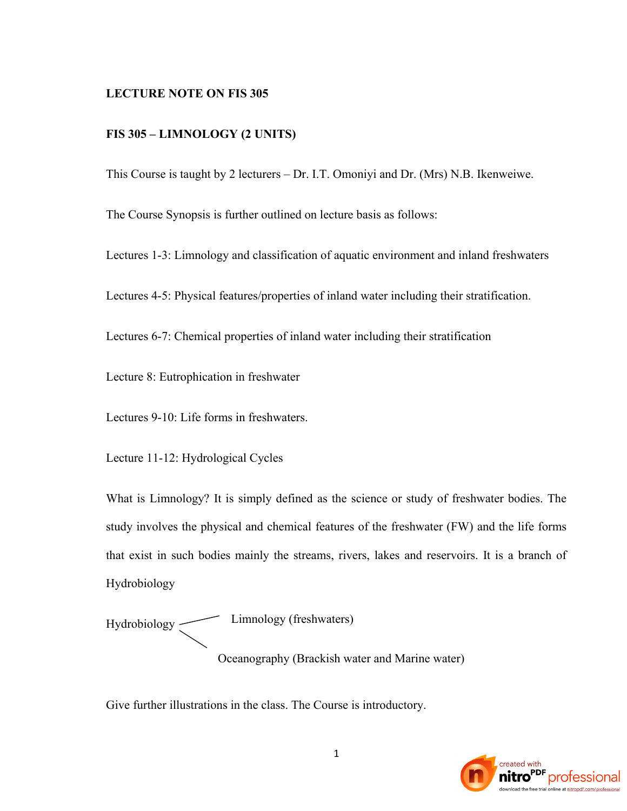# **LECTURE NOTE ON FIS 305**

# **FIS 305 – LIMNOLOGY (2 UNITS)**

This Course is taught by 2 lecturers – Dr. I.T. Omoniyi and Dr. (Mrs) N.B. Ikenweiwe.

The Course Synopsis is further outlined on lecture basis as follows:

Lectures 1-3: Limnology and classification of aquatic environment and inland freshwaters

Lectures 4-5: Physical features/properties of inland water including their stratification.

Lectures 6-7: Chemical properties of inland water including their stratification

Lecture 8: Eutrophication in freshwater

Lectures 9-10: Life forms in freshwaters.

Lecture 11-12: Hydrological Cycles

What is Limnology? It is simply defined as the science or study of freshwater bodies. The study involves the physical and chemical features of the freshwater (FW) and the life forms that exist in such bodies mainly the streams, rivers, lakes and reservoirs. It is a branch of Hydrobiology

Hydrobiology Limnology (freshwaters) Oceanography (Brackish water and Marine water)

Give further illustrations in the class. The Course is introductory.

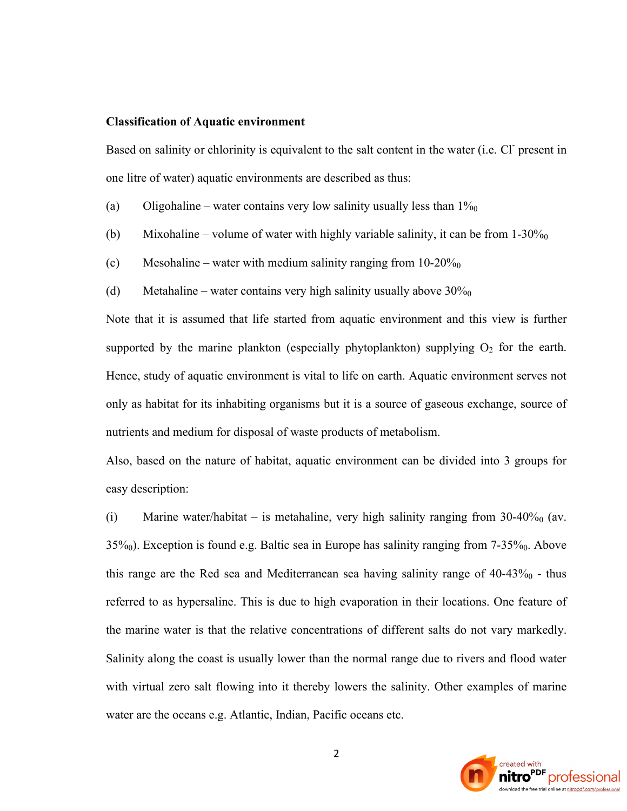#### **Classification of Aquatic environment**

Based on salinity or chlorinity is equivalent to the salt content in the water (i.e. Cl- present in one litre of water) aquatic environments are described as thus:

- (a) Oligohaline water contains very low salinity usually less than  $1\%$ <sub>0</sub>
- (b) Mixohaline volume of water with highly variable salinity, it can be from  $1-30\%$
- (c) Mesohaline water with medium salinity ranging from  $10\n-20\%$
- (d) Metahaline water contains very high salinity usually above  $30\%$ <sub>0</sub>

Note that it is assumed that life started from aquatic environment and this view is further supported by the marine plankton (especially phytoplankton) supplying  $O_2$  for the earth. Hence, study of aquatic environment is vital to life on earth. Aquatic environment serves not only as habitat for its inhabiting organisms but it is a source of gaseous exchange, source of nutrients and medium for disposal of waste products of metabolism.

Also, based on the nature of habitat, aquatic environment can be divided into 3 groups for easy description:

(i) Marine water/habitat – is metahaline, very high salinity ranging from  $30\n-40\%$  (av.  $35\%$ <sub>0</sub>). Exception is found e.g. Baltic sea in Europe has salinity ranging from  $7-35\%$ <sub>0</sub>. Above this range are the Red sea and Mediterranean sea having salinity range of  $40-43\%$  - thus referred to as hypersaline. This is due to high evaporation in their locations. One feature of the marine water is that the relative concentrations of different salts do not vary markedly. Salinity along the coast is usually lower than the normal range due to rivers and flood water with virtual zero salt flowing into it thereby lowers the salinity. Other examples of marine water are the oceans e.g. Atlantic, Indian, Pacific oceans etc.

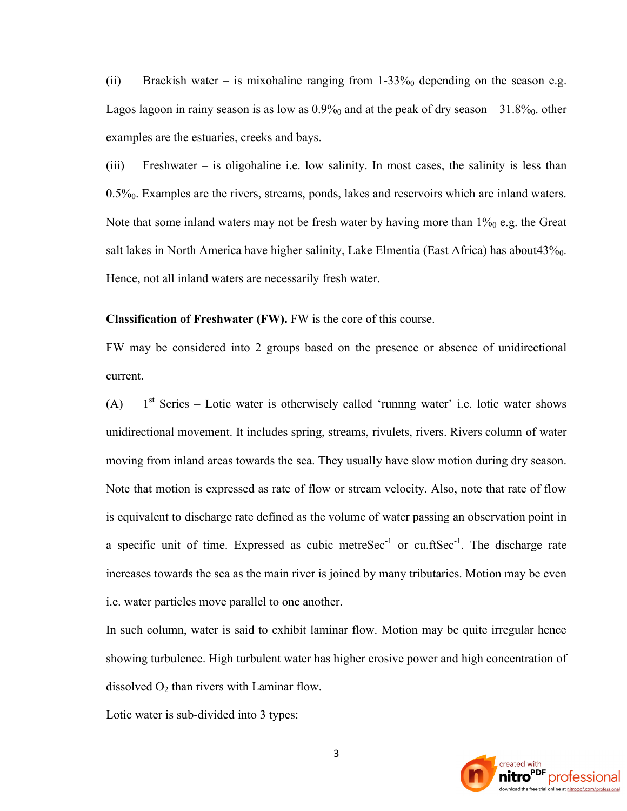(ii) Brackish water – is mixohaline ranging from  $1-33\%$  depending on the season e.g. Lagos lagoon in rainy season is as low as  $0.9\%$  and at the peak of dry season  $-31.8\%$  other examples are the estuaries, creeks and bays.

(iii) Freshwater – is oligohaline i.e. low salinity. In most cases, the salinity is less than 0.5%0. Examples are the rivers, streams, ponds, lakes and reservoirs which are inland waters. Note that some inland waters may not be fresh water by having more than  $1\%$  e.g. the Great salt lakes in North America have higher salinity, Lake Elmentia (East Africa) has about  $43\%$ <sub>0</sub>. Hence, not all inland waters are necessarily fresh water.

**Classification of Freshwater (FW).** FW is the core of this course.

FW may be considered into 2 groups based on the presence or absence of unidirectional current.

(A)  $1<sup>st</sup> Series – Lotic water is otherwisely called 'running water' i.e. lotic water shows$ unidirectional movement. It includes spring, streams, rivulets, rivers. Rivers column of water moving from inland areas towards the sea. They usually have slow motion during dry season. Note that motion is expressed as rate of flow or stream velocity. Also, note that rate of flow is equivalent to discharge rate defined as the volume of water passing an observation point in a specific unit of time. Expressed as cubic metreSec<sup>-1</sup> or cu.ftSec<sup>-1</sup>. The discharge rate increases towards the sea as the main river is joined by many tributaries. Motion may be even i.e. water particles move parallel to one another.

In such column, water is said to exhibit laminar flow. Motion may be quite irregular hence showing turbulence. High turbulent water has higher erosive power and high concentration of dissolved  $O_2$  than rivers with Laminar flow.

Lotic water is sub-divided into 3 types:

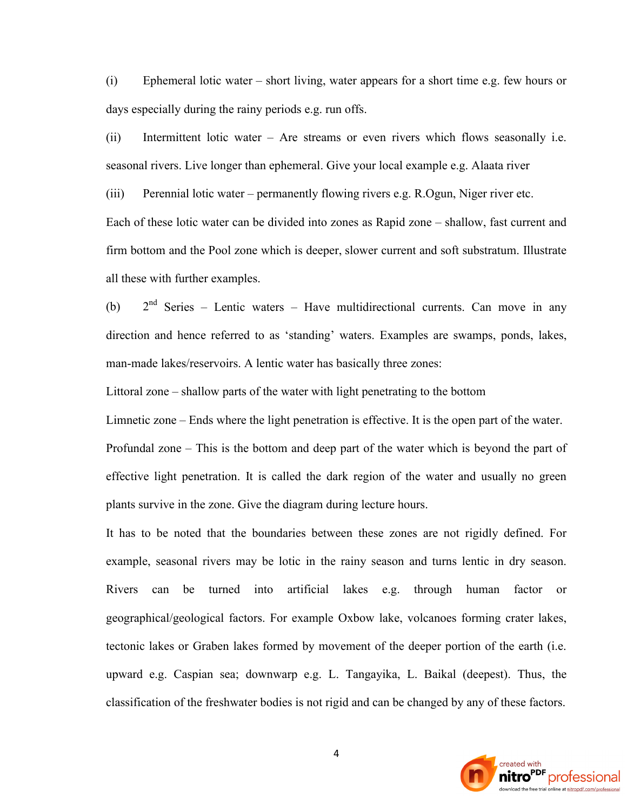(i) Ephemeral lotic water – short living, water appears for a short time e.g. few hours or days especially during the rainy periods e.g. run offs.

(ii) Intermittent lotic water – Are streams or even rivers which flows seasonally i.e. seasonal rivers. Live longer than ephemeral. Give your local example e.g. Alaata river

(iii) Perennial lotic water – permanently flowing rivers e.g. R.Ogun, Niger river etc.

Each of these lotic water can be divided into zones as Rapid zone – shallow, fast current and firm bottom and the Pool zone which is deeper, slower current and soft substratum. Illustrate all these with further examples.

(b)  $2<sup>nd</sup> Series – Lentic waters – Have multidirectional currents. Can move in any$ direction and hence referred to as 'standing' waters. Examples are swamps, ponds, lakes, man-made lakes/reservoirs. A lentic water has basically three zones:

Littoral zone – shallow parts of the water with light penetrating to the bottom

Limnetic zone – Ends where the light penetration is effective. It is the open part of the water.

Profundal zone – This is the bottom and deep part of the water which is beyond the part of effective light penetration. It is called the dark region of the water and usually no green plants survive in the zone. Give the diagram during lecture hours.

It has to be noted that the boundaries between these zones are not rigidly defined. For example, seasonal rivers may be lotic in the rainy season and turns lentic in dry season. Rivers can be turned into artificial lakes e.g. through human factor or geographical/geological factors. For example Oxbow lake, volcanoes forming crater lakes, tectonic lakes or Graben lakes formed by movement of the deeper portion of the earth (i.e. upward e.g. Caspian sea; downwarp e.g. L. Tangayika, L. Baikal (deepest). Thus, the classification of the freshwater bodies is not rigid and can be changed by any of these factors.

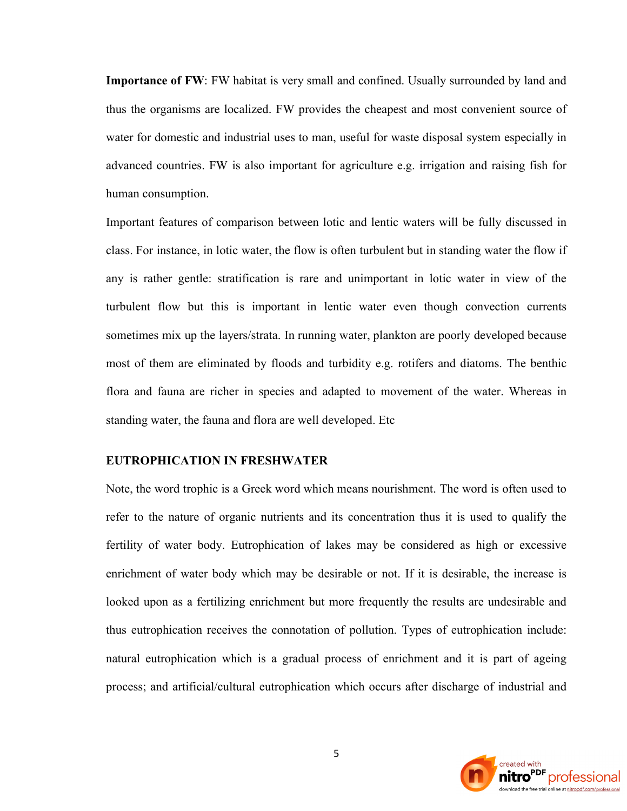**Importance of FW**: FW habitat is very small and confined. Usually surrounded by land and thus the organisms are localized. FW provides the cheapest and most convenient source of water for domestic and industrial uses to man, useful for waste disposal system especially in advanced countries. FW is also important for agriculture e.g. irrigation and raising fish for human consumption.

Important features of comparison between lotic and lentic waters will be fully discussed in class. For instance, in lotic water, the flow is often turbulent but in standing water the flow if any is rather gentle: stratification is rare and unimportant in lotic water in view of the turbulent flow but this is important in lentic water even though convection currents sometimes mix up the layers/strata. In running water, plankton are poorly developed because most of them are eliminated by floods and turbidity e.g. rotifers and diatoms. The benthic flora and fauna are richer in species and adapted to movement of the water. Whereas in standing water, the fauna and flora are well developed. Etc

## **EUTROPHICATION IN FRESHWATER**

Note, the word trophic is a Greek word which means nourishment. The word is often used to refer to the nature of organic nutrients and its concentration thus it is used to qualify the fertility of water body. Eutrophication of lakes may be considered as high or excessive enrichment of water body which may be desirable or not. If it is desirable, the increase is looked upon as a fertilizing enrichment but more frequently the results are undesirable and thus eutrophication receives the connotation of pollution. Types of eutrophication include: natural eutrophication which is a gradual process of enrichment and it is part of ageing process; and artificial/cultural eutrophication which occurs after discharge of industrial and

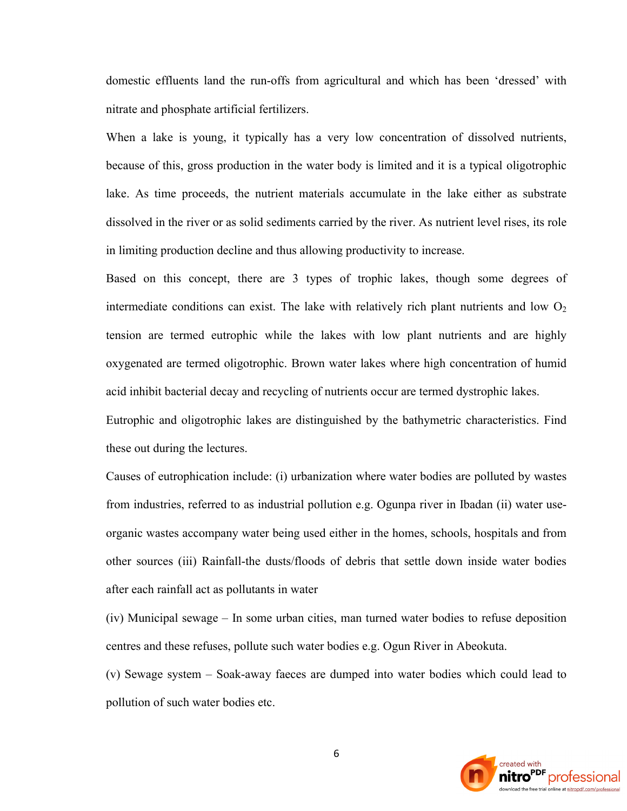domestic effluents land the run-offs from agricultural and which has been 'dressed' with nitrate and phosphate artificial fertilizers.

When a lake is young, it typically has a very low concentration of dissolved nutrients, because of this, gross production in the water body is limited and it is a typical oligotrophic lake. As time proceeds, the nutrient materials accumulate in the lake either as substrate dissolved in the river or as solid sediments carried by the river. As nutrient level rises, its role in limiting production decline and thus allowing productivity to increase.

Based on this concept, there are 3 types of trophic lakes, though some degrees of intermediate conditions can exist. The lake with relatively rich plant nutrients and low  $O<sub>2</sub>$ tension are termed eutrophic while the lakes with low plant nutrients and are highly oxygenated are termed oligotrophic. Brown water lakes where high concentration of humid acid inhibit bacterial decay and recycling of nutrients occur are termed dystrophic lakes.

Eutrophic and oligotrophic lakes are distinguished by the bathymetric characteristics. Find these out during the lectures.

Causes of eutrophication include: (i) urbanization where water bodies are polluted by wastes from industries, referred to as industrial pollution e.g. Ogunpa river in Ibadan (ii) water useorganic wastes accompany water being used either in the homes, schools, hospitals and from other sources (iii) Rainfall-the dusts/floods of debris that settle down inside water bodies after each rainfall act as pollutants in water

(iv) Municipal sewage – In some urban cities, man turned water bodies to refuse deposition centres and these refuses, pollute such water bodies e.g. Ogun River in Abeokuta.

(v) Sewage system – Soak-away faeces are dumped into water bodies which could lead to pollution of such water bodies etc.

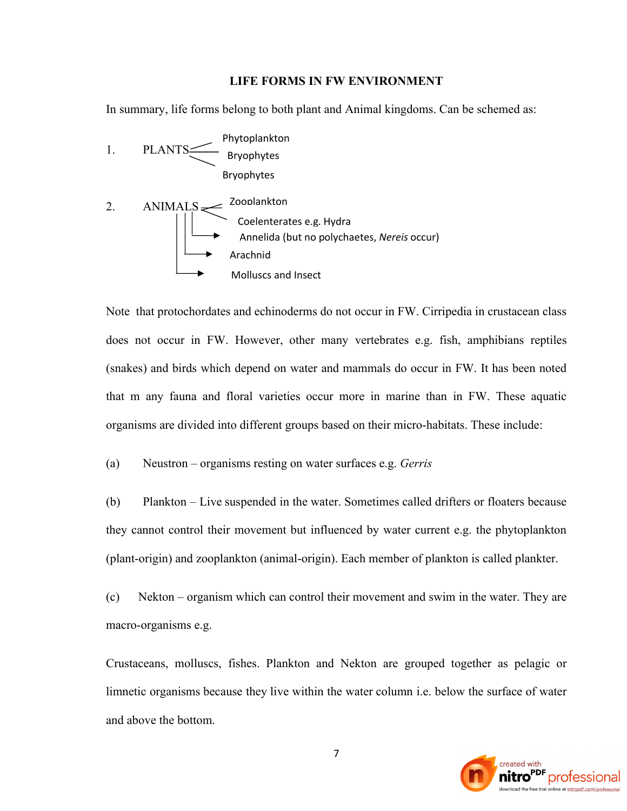#### **LIFE FORMS IN FW ENVIRONMENT**

In summary, life forms belong to both plant and Animal kingdoms. Can be schemed as:



Note that protochordates and echinoderms do not occur in FW. Cirripedia in crustacean class does not occur in FW. However, other many vertebrates e.g. fish, amphibians reptiles (snakes) and birds which depend on water and mammals do occur in FW. It has been noted that m any fauna and floral varieties occur more in marine than in FW. These aquatic organisms are divided into different groups based on their micro-habitats. These include:

(a) Neustron – organisms resting on water surfaces e.g. *Gerris*

(b) Plankton – Live suspended in the water. Sometimes called drifters or floaters because they cannot control their movement but influenced by water current e.g. the phytoplankton (plant-origin) and zooplankton (animal-origin). Each member of plankton is called plankter.

(c) Nekton – organism which can control their movement and swim in the water. They are macro-organisms e.g.

Crustaceans, molluscs, fishes. Plankton and Nekton are grouped together as pelagic or limnetic organisms because they live within the water column i.e. below the surface of water and above the bottom.

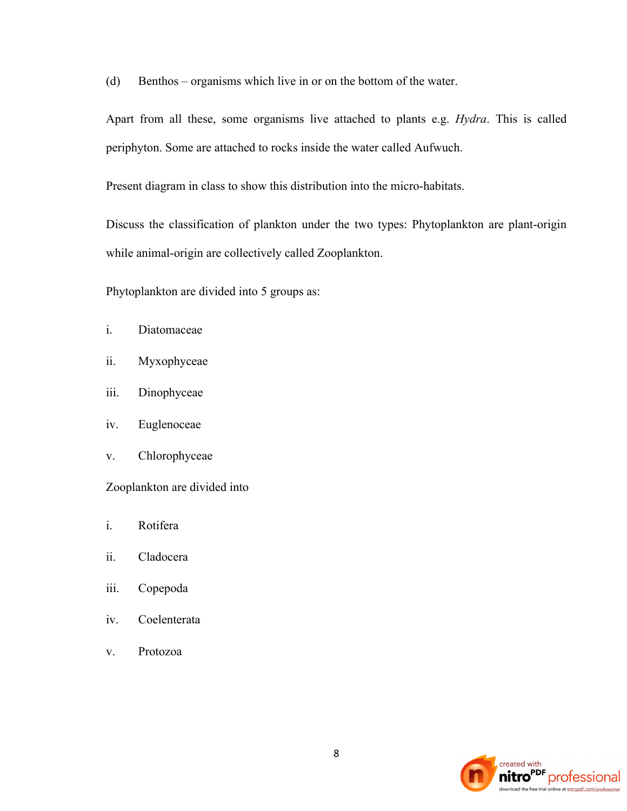(d) Benthos – organisms which live in or on the bottom of the water.

Apart from all these, some organisms live attached to plants e.g. *Hydra*. This is called periphyton. Some are attached to rocks inside the water called Aufwuch.

Present diagram in class to show this distribution into the micro-habitats.

Discuss the classification of plankton under the two types: Phytoplankton are plant-origin while animal-origin are collectively called Zooplankton.

Phytoplankton are divided into 5 groups as:

- i. Diatomaceae
- ii. Myxophyceae
- iii. Dinophyceae
- iv. Euglenoceae
- v. Chlorophyceae

Zooplankton are divided into

- i. Rotifera
- ii. Cladocera
- iii. Copepoda
- iv. Coelenterata
- v. Protozoa

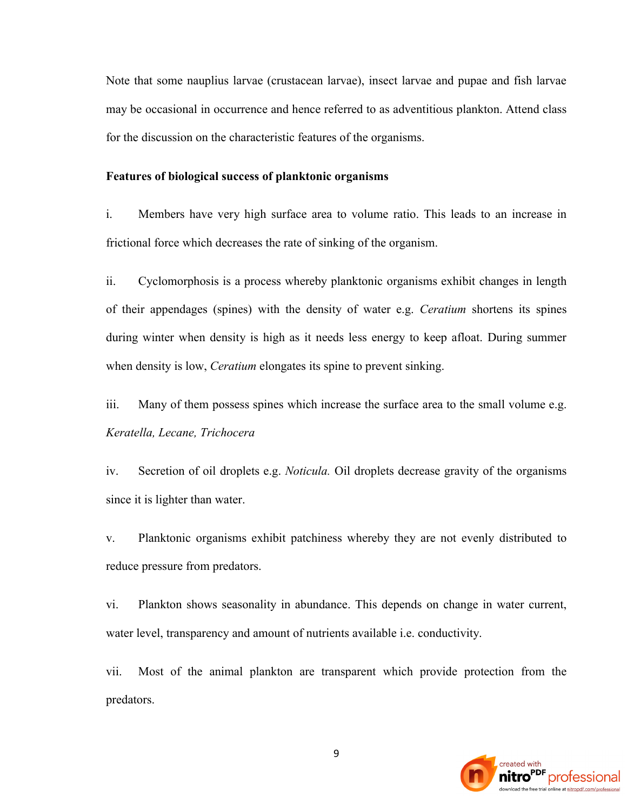Note that some nauplius larvae (crustacean larvae), insect larvae and pupae and fish larvae may be occasional in occurrence and hence referred to as adventitious plankton. Attend class for the discussion on the characteristic features of the organisms.

# **Features of biological success of planktonic organisms**

i. Members have very high surface area to volume ratio. This leads to an increase in frictional force which decreases the rate of sinking of the organism.

ii. Cyclomorphosis is a process whereby planktonic organisms exhibit changes in length of their appendages (spines) with the density of water e.g. *Ceratium* shortens its spines during winter when density is high as it needs less energy to keep afloat. During summer when density is low, *Ceratium* elongates its spine to prevent sinking.

iii. Many of them possess spines which increase the surface area to the small volume e.g. *Keratella, Lecane, Trichocera*

iv. Secretion of oil droplets e.g. *Noticula.* Oil droplets decrease gravity of the organisms since it is lighter than water.

v. Planktonic organisms exhibit patchiness whereby they are not evenly distributed to reduce pressure from predators.

vi. Plankton shows seasonality in abundance. This depends on change in water current, water level, transparency and amount of nutrients available i.e. conductivity.

vii. Most of the animal plankton are transparent which provide protection from the predators.

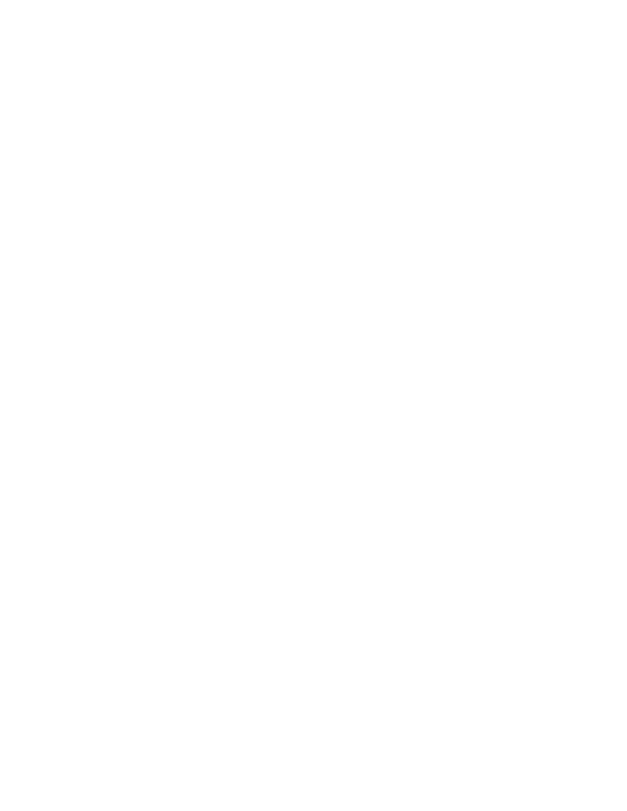viii. Planktonic organisms show diurnal ventral migration. Explain this with the three theories of limnologists.

Nekton – Are fishes and crustaceans mainly. So also molluscs. This is your core course throughout the programme.

Benthos – Occur at the bottom of water, include bacteria and fungi, protozoan, leeches, oligochaetes, planarians, ostracods, crabs and prawns, coleopterans. They are many snails.

Periphyton include *Hydra* which attach to plants, water mites and rotifers.

Neustron – stay at surface of the water. These are mainly arthropods – *Gyrinus, Gerris* (Pond skater), adult mosquito (temporarily).

## **PLANTS**

a. Floating plants – float freely on water e.g. *Pistia, Lemna Salvinia*

b. Submerged Vegetation – Plants completely under water e.g. *Ceratophyllu, Utricularia*

c. Rooted vegetation – Have roots at the bottom but leaves appear on the surface of water e.g. grasses and sedges

Discuss the relationship among the FW organisms. The relationship is mainly on feeding and hence called trophic relationship. Illustrate this in class.

These organisms also affect physic-chemical parameters of the water. The full discussion of this effect starts with phytoplankton which forms the base of the food. Higher plants tend to cover the water and therefore reduced illumination. Nekton activities in the system affect the gases and stir up the bottom when feeding thus turbidity will increase.